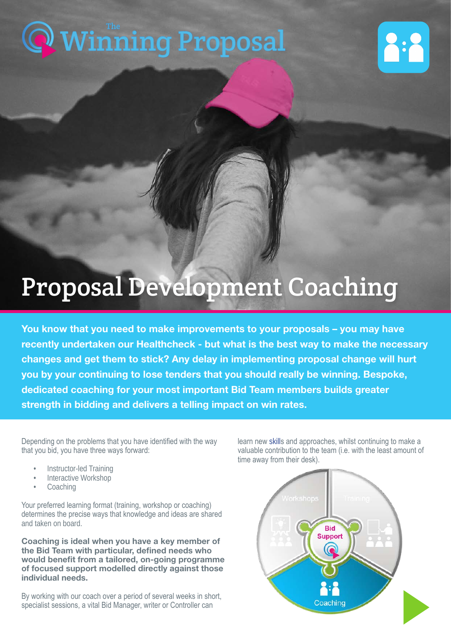# [Winning Proposal](https://www.thewinningproposal.com) The



## Proposal Development Coaching

You know that you need to make improvements to your proposals – you may have recently undertaken our Healthcheck - but what is the best way to make the necessary changes and get them to stick? Any delay in implementing proposal change will hurt you by your continuing to lose tenders that you should really be winning. Bespoke, dedicated coaching for your most important Bid Team members builds greater strength in bidding and delivers a telling impact on win rates.

Depending on the problems that you have identified with the way that you bid, you have three ways forward:

- **Instructor-led Training**
- Interactive Workshop
- **Coaching**

Your preferred learning format (training, workshop or coaching) determines the precise ways that knowledge and ideas are shared and taken on board.

Coaching is ideal when you have a key member of the Bid Team with particular, defined needs who would benefit from a tailored, on-going programme of focused support modelled directly against those individual needs.

By working with our coach over a period of several weeks in short, specialist sessions, a vital Bid Manager, writer or Controller can

learn new skills and approaches, whilst continuing to make a valuable contribution to the team (i.e. with the least amount of time away from their desk).

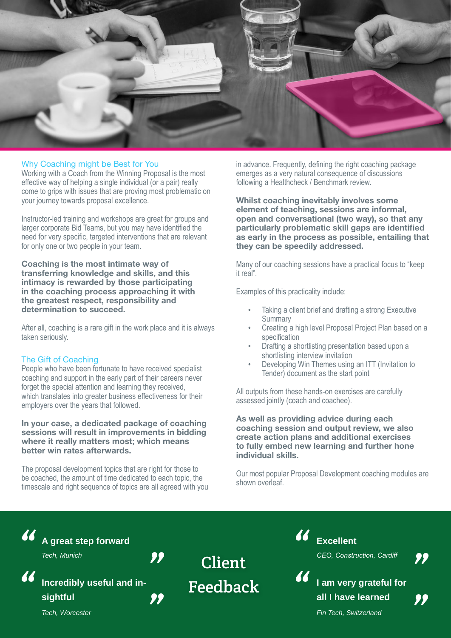

#### Why Coaching might be Best for You

Working with a Coach from the Winning Proposal is the most effective way of helping a single individual (or a pair) really come to grips with issues that are proving most problematic on your journey towards proposal excellence.

Instructor-led training and workshops are great for groups and larger corporate Bid Teams, but you may have identified the need for very specific, targeted interventions that are relevant for only one or two people in your team.

Coaching is the most intimate way of transferring knowledge and skills, and this intimacy is rewarded by those participating in the coaching process approaching it with the greatest respect, responsibility and determination to succeed.

After all, coaching is a rare gift in the work place and it is always taken seriously.

#### The Gift of Coaching

People who have been fortunate to have received specialist coaching and support in the early part of their careers never forget the special attention and learning they received. which translates into greater business effectiveness for their employers over the years that followed.

#### In your case, a dedicated package of coaching sessions will result in improvements in bidding where it really matters most: which means better win rates afterwards.

The proposal development topics that are right for those to be coached, the amount of time dedicated to each topic, the timescale and right sequence of topics are all agreed with you in advance. Frequently, defining the right coaching package emerges as a very natural consequence of discussions following a Healthcheck / Benchmark review.

Whilst coaching inevitably involves some element of teaching, sessions are informal, open and conversational (two way), so that any particularly problematic skill gaps are identified as early in the process as possible, entailing that they can be speedily addressed.

Many of our coaching sessions have a practical focus to "keep it real".

Examples of this practicality include:

- Taking a client brief and drafting a strong Executive **Summary**
- Creating a high level Proposal Project Plan based on a specification
- Drafting a shortlisting presentation based upon a shortlisting interview invitation
- Developing Win Themes using an ITT (Invitation to Tender) document as the start point

All outputs from these hands-on exercises are carefully assessed jointly (coach and coachee).

As well as providing advice during each coaching session and output review, we also create action plans and additional exercises to fully embed new learning and further hone individual skills.

Our most popular Proposal Development coaching modules are shown overleaf.



*Fin Tech, Switzerland*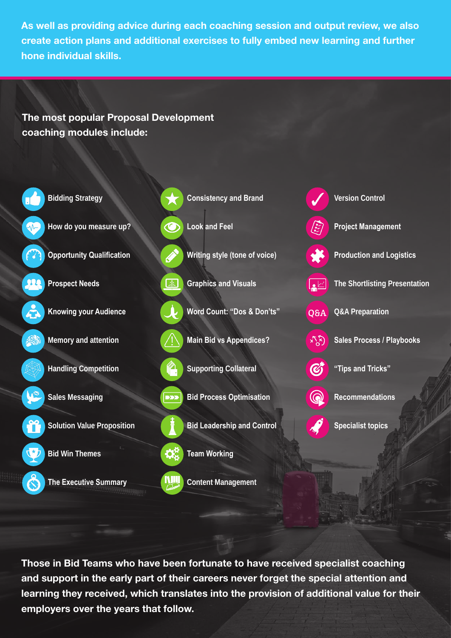As well as providing advice during each coaching session and output review, we also create action plans and additional exercises to fully embed new learning and further hone individual skills.

### The most popular Proposal Development coaching modules include:



Those in Bid Teams who have been fortunate to have received specialist coaching and support in the early part of their careers never forget the special attention and learning they received, which translates into the provision of additional value for their employers over the years that follow.